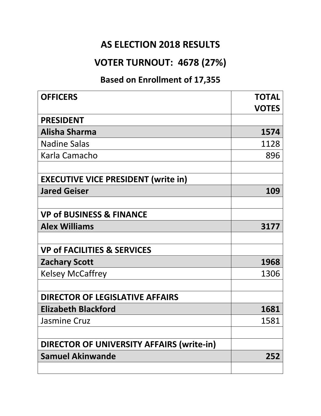### **AS ELECTION 2018 RESULTS**

### **VOTER TURNOUT: 4678 (27%)**

### **Based on Enrollment of 17,355**

| <b>OFFICERS</b>                                  | <b>TOTAL</b> |
|--------------------------------------------------|--------------|
|                                                  | <b>VOTES</b> |
| <b>PRESIDENT</b>                                 |              |
| Alisha Sharma                                    | 1574         |
| <b>Nadine Salas</b>                              | 1128         |
| Karla Camacho                                    | 896          |
|                                                  |              |
| <b>EXECUTIVE VICE PRESIDENT (write in)</b>       |              |
| <b>Jared Geiser</b>                              | 109          |
|                                                  |              |
| <b>VP of BUSINESS &amp; FINANCE</b>              |              |
| <b>Alex Williams</b>                             | 3177         |
|                                                  |              |
| <b>VP of FACILITIES &amp; SERVICES</b>           |              |
| <b>Zachary Scott</b>                             | 1968         |
| <b>Kelsey McCaffrey</b>                          | 1306         |
|                                                  |              |
| <b>DIRECTOR OF LEGISLATIVE AFFAIRS</b>           |              |
| <b>Elizabeth Blackford</b>                       | 1681         |
| <b>Jasmine Cruz</b>                              | 1581         |
|                                                  |              |
| <b>DIRECTOR OF UNIVERSITY AFFAIRS (write-in)</b> |              |
| <b>Samuel Akinwande</b>                          | 252          |
|                                                  |              |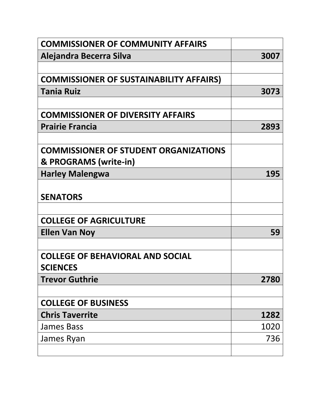| <b>COMMISSIONER OF COMMUNITY AFFAIRS</b>       |      |
|------------------------------------------------|------|
| Alejandra Becerra Silva                        | 3007 |
|                                                |      |
| <b>COMMISSIONER OF SUSTAINABILITY AFFAIRS)</b> |      |
| <b>Tania Ruiz</b>                              | 3073 |
|                                                |      |
| <b>COMMISSIONER OF DIVERSITY AFFAIRS</b>       |      |
| <b>Prairie Francia</b>                         | 2893 |
|                                                |      |
| <b>COMMISSIONER OF STUDENT ORGANIZATIONS</b>   |      |
| & PROGRAMS (write-in)                          |      |
| <b>Harley Malengwa</b>                         | 195  |
|                                                |      |
| <b>SENATORS</b>                                |      |
|                                                |      |
| <b>COLLEGE OF AGRICULTURE</b>                  |      |
| <b>Ellen Van Noy</b>                           | 59   |
|                                                |      |
| <b>COLLEGE OF BEHAVIORAL AND SOCIAL</b>        |      |
| <b>SCIENCES</b>                                |      |
| <b>Trevor Guthrie</b>                          | 2780 |
|                                                |      |
| <b>COLLEGE OF BUSINESS</b>                     |      |
| <b>Chris Taverrite</b>                         | 1282 |
| <b>James Bass</b>                              | 1020 |
| James Ryan                                     | 736  |
|                                                |      |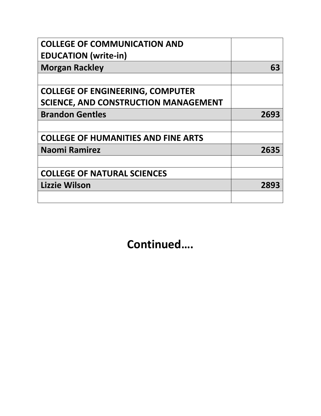| <b>COLLEGE OF COMMUNICATION AND</b>         |      |
|---------------------------------------------|------|
| <b>EDUCATION</b> (write-in)                 |      |
| <b>Morgan Rackley</b>                       | 63   |
|                                             |      |
| <b>COLLEGE OF ENGINEERING, COMPUTER</b>     |      |
| <b>SCIENCE, AND CONSTRUCTION MANAGEMENT</b> |      |
| <b>Brandon Gentles</b>                      | 2693 |
|                                             |      |
| <b>COLLEGE OF HUMANITIES AND FINE ARTS</b>  |      |
| <b>Naomi Ramirez</b>                        | 2635 |
|                                             |      |
| <b>COLLEGE OF NATURAL SCIENCES</b>          |      |
| Lizzie Wilson                               | 2893 |
|                                             |      |

**Continued….**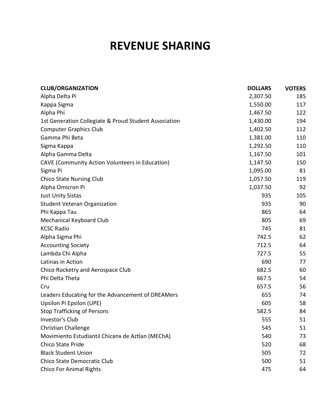## **REVENUE SHARING**

| <b>CLUB/ORGANIZATION</b>                              | <b>DOLLARS</b> | <b>VOTERS</b> |
|-------------------------------------------------------|----------------|---------------|
| Alpha Delta Pi                                        | 2,307.50       | 185           |
| Kappa Sigma                                           | 1,550.00       | 117           |
| Alpha Phi                                             | 1,467.50       | 122           |
| 1st Generation Collegiate & Proud Student Association | 1,430.00       | 194           |
| <b>Computer Graphics Club</b>                         | 1,402.50       | 112           |
| Gamma Phi Beta                                        | 1,381.00       | 110           |
| Sigma Kappa                                           | 1,292.50       | 110           |
| Alpha Gamma Delta                                     | 1,167.50       | 101           |
| CAVE (Community Action Volunteers in Education)       | 1,147.50       | 150           |
| Sigma Pi                                              | 1,095.00       | 81            |
| <b>Chico State Nursing Club</b>                       | 1,057.50       | 119           |
| Alpha Omicron Pi                                      | 1,037.50       | 92            |
| <b>Just Unity Sistas</b>                              | 935            | 105           |
| <b>Student Veteran Organization</b>                   | 935            | 90            |
| Phi Kappa Tau                                         | 865            | 64            |
| Mechanical Keyboard Club                              | 805            | 69            |
| <b>KCSC Radio</b>                                     | 745            | 81            |
| Alpha Sigma Phi                                       | 742.5          | 62            |
| <b>Accounting Society</b>                             | 712.5          | 64            |
| Lambda Chi Alpha                                      | 727.5          | 55            |
| Latinas in Action                                     | 690            | 77            |
| Chico Rocketry and Aerospace Club                     | 682.5          | 60            |
| Phi Delta Theta                                       | 667.5          | 54            |
| Cru                                                   | 657.5          | 56            |
| Leaders Educating for the Advancement of DREAMers     | 655            | 74            |
| Upsilon Pi Epsilon (UPE)                              | 605            | 58            |
| <b>Stop Trafficking of Persons</b>                    | 582.5          | 84            |
| Investor's Club                                       | 555            | 51            |
| Christian Challenge                                   | 545            | 51            |
| Movimiento Estudiantil Chicanx de Aztlan (MEChA)      | 540            | 73            |
| Chico State Pride                                     | 520            | 68            |
| <b>Black Student Union</b>                            | 505            | 72            |
| Chico State Democratic Club                           | 500            | 51            |
| <b>Chico For Animal Rights</b>                        | 475            | 64            |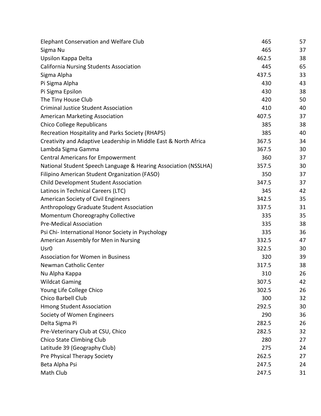| <b>Elephant Conservation and Welfare Club</b>                    | 465   | 57 |
|------------------------------------------------------------------|-------|----|
| Sigma Nu                                                         | 465   | 37 |
| Upsilon Kappa Delta                                              | 462.5 | 38 |
| <b>California Nursing Students Association</b>                   | 445   | 65 |
| Sigma Alpha                                                      | 437.5 | 33 |
| Pi Sigma Alpha                                                   | 430   | 43 |
| Pi Sigma Epsilon                                                 | 430   | 38 |
| The Tiny House Club                                              | 420   | 50 |
| <b>Criminal Justice Student Association</b>                      | 410   | 40 |
| <b>American Marketing Association</b>                            | 407.5 | 37 |
| <b>Chico College Republicans</b>                                 | 385   | 38 |
| <b>Recreation Hospitality and Parks Society (RHAPS)</b>          | 385   | 40 |
| Creativity and Adaptive Leadership in Middle East & North Africa | 367.5 | 34 |
| Lambda Sigma Gamma                                               | 367.5 | 30 |
| <b>Central Americans for Empowerment</b>                         | 360   | 37 |
| National Student Speech Language & Hearing Association (NSSLHA)  | 357.5 | 30 |
| Filipino American Student Organization (FASO)                    | 350   | 37 |
| <b>Child Development Student Association</b>                     | 347.5 | 37 |
| Latinos in Technical Careers (LTC)                               | 345   | 42 |
| American Society of Civil Engineers                              | 342.5 | 35 |
| Anthropology Graduate Student Association                        | 337.5 | 31 |
| Momentum Choreography Collective                                 | 335   | 35 |
| <b>Pre-Medical Association</b>                                   | 335   | 38 |
| Psi Chi- International Honor Society in Psychology               | 335   | 36 |
| American Assembly for Men in Nursing                             | 332.5 | 47 |
| Usr <sub>0</sub>                                                 | 322.5 | 30 |
| <b>Association for Women in Business</b>                         | 320   | 39 |
| Newman Catholic Center                                           | 317.5 | 38 |
| Nu Alpha Kappa                                                   | 310   | 26 |
| <b>Wildcat Gaming</b>                                            | 307.5 | 42 |
| Young Life College Chico                                         | 302.5 | 26 |
| Chico Barbell Club                                               | 300   | 32 |
| <b>Hmong Student Association</b>                                 | 292.5 | 30 |
| Society of Women Engineers                                       | 290   | 36 |
| Delta Sigma Pi                                                   | 282.5 | 26 |
| Pre-Veterinary Club at CSU, Chico                                | 282.5 | 32 |
| Chico State Climbing Club                                        | 280   | 27 |
| Latitude 39 (Geography Club)                                     | 275   | 24 |
| Pre Physical Therapy Society                                     | 262.5 | 27 |
| Beta Alpha Psi                                                   | 247.5 | 24 |
| Math Club                                                        | 247.5 | 31 |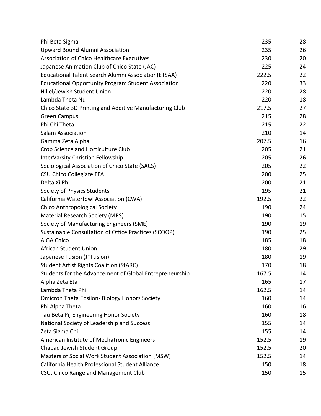| Phi Beta Sigma                                              | 235   | 28 |
|-------------------------------------------------------------|-------|----|
| Upward Bound Alumni Association                             | 235   | 26 |
| <b>Association of Chico Healthcare Executives</b>           | 230   | 20 |
| Japanese Animation Club of Chico State (JAC)                | 225   | 24 |
| <b>Educational Talent Search Alumni Association (ETSAA)</b> | 222.5 | 22 |
| <b>Educational Opportunity Program Student Association</b>  | 220   | 33 |
| Hillel/Jewish Student Union                                 | 220   | 28 |
| Lambda Theta Nu                                             | 220   | 18 |
| Chico State 3D Printing and Additive Manufacturing Club     | 217.5 | 27 |
| <b>Green Campus</b>                                         | 215   | 28 |
| Phi Chi Theta                                               | 215   | 22 |
| Salam Association                                           | 210   | 14 |
| Gamma Zeta Alpha                                            | 207.5 | 16 |
| Crop Science and Horticulture Club                          | 205   | 21 |
| InterVarsity Christian Fellowship                           | 205   | 26 |
| Sociological Association of Chico State (SACS)              | 205   | 22 |
| <b>CSU Chico Collegiate FFA</b>                             | 200   | 25 |
| Delta Xi Phi                                                | 200   | 21 |
| Society of Physics Students                                 | 195   | 21 |
| California Waterfowl Association (CWA)                      | 192.5 | 22 |
| Chico Anthropological Society                               | 190   | 24 |
| Material Research Society (MRS)                             | 190   | 15 |
| Society of Manufacturing Engineers (SME)                    | 190   | 19 |
| Sustainable Consultation of Office Practices (SCOOP)        | 190   | 25 |
| <b>AIGA Chico</b>                                           | 185   | 18 |
| African Student Union                                       | 180   | 29 |
| Japanese Fusion (J*Fusion)                                  | 180   | 19 |
| <b>Student Artist Rights Coalition (StARC)</b>              | 170   | 18 |
| Students for the Advancement of Global Entrepreneurship     | 167.5 | 14 |
| Alpha Zeta Eta                                              | 165   | 17 |
| Lambda Theta Phi                                            | 162.5 | 14 |
| <b>Omicron Theta Epsilon-Biology Honors Society</b>         | 160   | 14 |
| Phi Alpha Theta                                             | 160   | 16 |
| Tau Beta Pi, Engineering Honor Society                      | 160   | 18 |
| National Society of Leadership and Success                  | 155   | 14 |
| Zeta Sigma Chi                                              | 155   | 14 |
| American Institute of Mechatronic Engineers                 | 152.5 | 19 |
| Chabad Jewish Student Group                                 | 152.5 | 20 |
| Masters of Social Work Student Association (MSW)            | 152.5 | 14 |
| California Health Professional Student Alliance             | 150   | 18 |
| CSU, Chico Rangeland Management Club                        | 150   | 15 |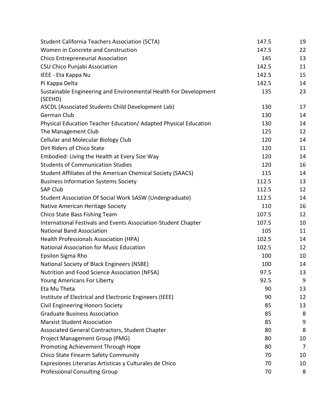| <b>Student California Teachers Association (SCTA)</b>                       | 147.5 | 19 |
|-----------------------------------------------------------------------------|-------|----|
| Women in Concrete and Construction                                          | 147.5 | 22 |
| Chico Entrepreneurial Association                                           | 145   | 13 |
| CSU Chico Punjabi Association                                               | 142.5 | 11 |
| IEEE - Eta Kappa Nu                                                         | 142.5 | 15 |
| Pi Kappa Delta                                                              | 142.5 | 14 |
| Sustainable Engineering and Environmental Health For Development<br>(SEEHD) | 135   | 23 |
| ASCDL (Associated Students Child Development Lab)                           | 130   | 17 |
| German Club                                                                 | 130   | 14 |
| Physical Education Teacher Education/Adapted Physical Education             | 130   | 14 |
| The Management Club                                                         | 125   | 12 |
| <b>Cellular and Molecular Biology Club</b>                                  | 120   | 14 |
| Dirt Riders of Chico State                                                  | 120   | 11 |
| Embodied: Living the Health at Every Size Way                               | 120   | 14 |
| <b>Students of Communication Studies</b>                                    | 120   | 16 |
| Student Affiliates of the American Chemical Society (SAACS)                 | 115   | 14 |
| <b>Business Information Systems Society</b>                                 | 112.5 | 13 |
| <b>SAP Club</b>                                                             | 112.5 | 12 |
| Student Association Of Social Work SASW (Undergraduate)                     | 112.5 | 14 |
| Native American Heritage Society                                            | 110   | 16 |
| Chico State Bass Fishing Team                                               | 107.5 | 12 |
| International Festivals and Events Association-Student Chapter              | 107.5 | 10 |
| <b>National Band Association</b>                                            | 105   | 11 |
| Health Professionals Association (HPA)                                      | 102.5 | 14 |
| <b>National Association for Music Education</b>                             | 102.5 | 12 |
| Epsilon Sigma Rho                                                           | 100   | 10 |
| National Society of Black Engineers (NSBE)                                  | 100   | 14 |
| Nutrition and Food Science Association (NFSA)                               | 97.5  | 13 |
| <b>Young Americans For Liberty</b>                                          | 92.5  | 9  |
| Eta Mu Theta                                                                | 90    | 13 |
| Institute of Electrical and Electronic Engineers (IEEE)                     | 90    | 12 |
| <b>Civil Engineering Honors Society</b>                                     | 85    | 13 |
| <b>Graduate Business Association</b>                                        | 85    | 8  |
| <b>Marxist Student Association</b>                                          | 85    | 9  |
| Associated General Contractors, Student Chapter                             | 80    | 8  |
| Project Management Group (PMG)                                              | 80    | 10 |
| Promoting Achievement Through Hope                                          | 80    | 7  |
| Chico State Firearm Safety Community                                        | 70    | 10 |
| Expresiones Literarias Artisticas y Culturales de Chico                     | 70    | 10 |
| <b>Professional Consulting Group</b>                                        | 70    | 8  |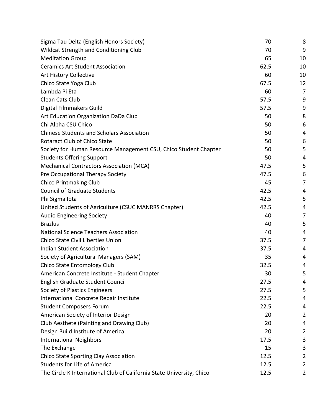| Sigma Tau Delta (English Honors Society)                              | 70   | 8              |
|-----------------------------------------------------------------------|------|----------------|
| <b>Wildcat Strength and Conditioning Club</b>                         | 70   | 9              |
| <b>Meditation Group</b>                                               | 65   | 10             |
| <b>Ceramics Art Student Association</b>                               | 62.5 | 10             |
| Art History Collective                                                | 60   | 10             |
| Chico State Yoga Club                                                 | 67.5 | 12             |
| Lambda Pi Eta                                                         | 60   | 7              |
| Clean Cats Club                                                       | 57.5 | 9              |
| Digital Filmmakers Guild                                              | 57.5 | 9              |
| Art Education Organization DaDa Club                                  | 50   | 8              |
| Chi Alpha CSU Chico                                                   | 50   | 6              |
| <b>Chinese Students and Scholars Association</b>                      | 50   | 4              |
| <b>Rotaract Club of Chico State</b>                                   | 50   | 6              |
| Society for Human Resource Management CSU, Chico Student Chapter      | 50   | 5              |
| <b>Students Offering Support</b>                                      | 50   | 4              |
| <b>Mechanical Contractors Association (MCA)</b>                       | 47.5 | 5              |
| Pre Occupational Therapy Society                                      | 47.5 | 6              |
| <b>Chico Printmaking Club</b>                                         | 45   | 7              |
| <b>Council of Graduate Students</b>                                   | 42.5 | 4              |
| Phi Sigma Iota                                                        | 42.5 | 5              |
| United Students of Agriculture (CSUC MANRRS Chapter)                  | 42.5 | 4              |
| <b>Audio Engineering Society</b>                                      | 40   | 7              |
| <b>Brazlus</b>                                                        | 40   | 5              |
| <b>National Science Teachers Association</b>                          | 40   | 4              |
| <b>Chico State Civil Liberties Union</b>                              | 37.5 | 7              |
| <b>Indian Student Association</b>                                     | 37.5 | 4              |
| Society of Agricultural Managers (SAM)                                | 35   | 4              |
| Chico State Entomology Club                                           | 32.5 | 4              |
| American Concrete Institute - Student Chapter                         | 30   | 5              |
| English Graduate Student Council                                      | 27.5 | 4              |
| Society of Plastics Engineers                                         | 27.5 | 5              |
| International Concrete Repair Institute                               | 22.5 | 4              |
| <b>Student Composers Forum</b>                                        | 22.5 | 4              |
| American Society of Interior Design                                   | 20   | 2              |
| Club Aesthete (Painting and Drawing Club)                             | 20   | 4              |
| Design Build Institute of America                                     | 20   | 2              |
| <b>International Neighbors</b>                                        | 17.5 | 3              |
| The Exchange                                                          | 15   | 3              |
| Chico State Sporting Clay Association                                 | 12.5 | 2              |
| <b>Students for Life of America</b>                                   | 12.5 | $\overline{2}$ |
| The Circle K International Club of California State University, Chico | 12.5 | 2              |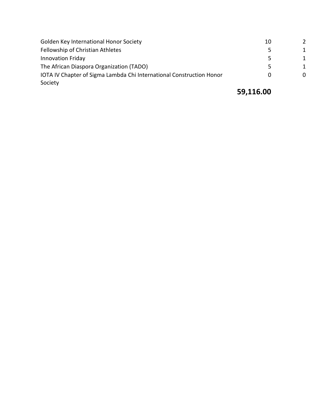| Golden Key International Honor Society                               | 10 |   |
|----------------------------------------------------------------------|----|---|
| Fellowship of Christian Athletes                                     |    | 1 |
| <b>Innovation Friday</b>                                             |    | 1 |
| The African Diaspora Organization (TADO)                             |    | 1 |
| IOTA IV Chapter of Sigma Lambda Chi International Construction Honor |    |   |
| Society                                                              |    |   |

### **59,116.00**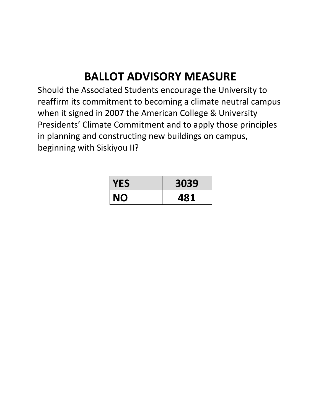# **BALLOT ADVISORY MEASURE**

Should the Associated Students encourage the University to reaffirm its commitment to becoming a climate neutral campus when it signed in 2007 the American College & University Presidents' Climate Commitment and to apply those principles in planning and constructing new buildings on campus, beginning with Siskiyou II?

| <b>YES</b> | 3039 |
|------------|------|
| <b>NO</b>  | 481  |